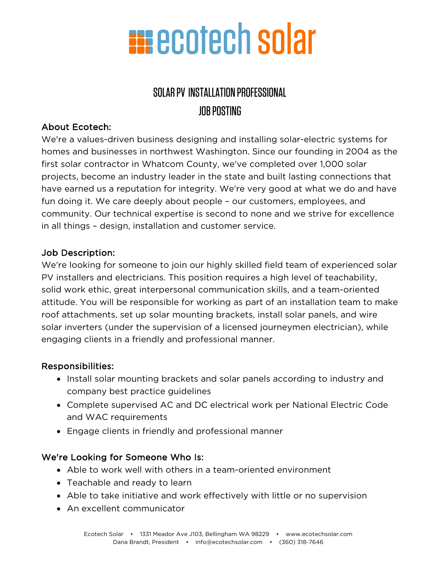

### SOLAR PV INSTALLATION PROFESSIONAL JOB POSTING

### About Ecotech:

We're a values-driven business designing and installing solar-electric systems for homes and businesses in northwest Washington. Since our founding in 2004 as the first solar contractor in Whatcom County, we've completed over 1,000 solar projects, become an industry leader in the state and built lasting connections that have earned us a reputation for integrity. We're very good at what we do and have fun doing it. We care deeply about people – our customers, employees, and community. Our technical expertise is second to none and we strive for excellence in all things – design, installation and customer service.

#### Job Description:

We're looking for someone to join our highly skilled field team of experienced solar PV installers and electricians. This position requires a high level of teachability, solid work ethic, great interpersonal communication skills, and a team-oriented attitude. You will be responsible for working as part of an installation team to make roof attachments, set up solar mounting brackets, install solar panels, and wire solar inverters (under the supervision of a licensed journeymen electrician), while engaging clients in a friendly and professional manner.

### Responsibilities:

- Install solar mounting brackets and solar panels according to industry and company best practice guidelines
- Complete supervised AC and DC electrical work per National Electric Code and WAC requirements
- Engage clients in friendly and professional manner

### We're Looking for Someone Who Is:

- Able to work well with others in a team-oriented environment
- Teachable and ready to learn
- Able to take initiative and work effectively with little or no supervision
- An excellent communicator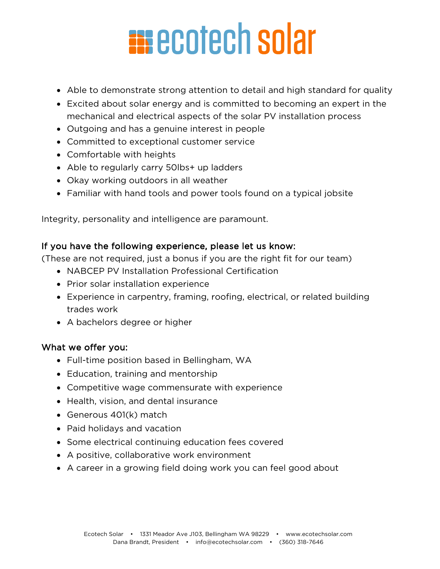# **EN ECOTECH SOLAR**

- Able to demonstrate strong attention to detail and high standard for quality
- Excited about solar energy and is committed to becoming an expert in the mechanical and electrical aspects of the solar PV installation process
- Outgoing and has a genuine interest in people
- Committed to exceptional customer service
- Comfortable with heights
- Able to regularly carry 50lbs+ up ladders
- Okay working outdoors in all weather
- Familiar with hand tools and power tools found on a typical jobsite

Integrity, personality and intelligence are paramount.

### If you have the following experience, please let us know:

(These are not required, just a bonus if you are the right fit for our team)

- NABCEP PV Installation Professional Certification
- Prior solar installation experience
- Experience in carpentry, framing, roofing, electrical, or related building trades work
- A bachelors degree or higher

### What we offer you:

- Full-time position based in Bellingham, WA
- Education, training and mentorship
- Competitive wage commensurate with experience
- Health, vision, and dental insurance
- Generous 401(k) match
- Paid holidays and vacation
- Some electrical continuing education fees covered
- A positive, collaborative work environment
- A career in a growing field doing work you can feel good about